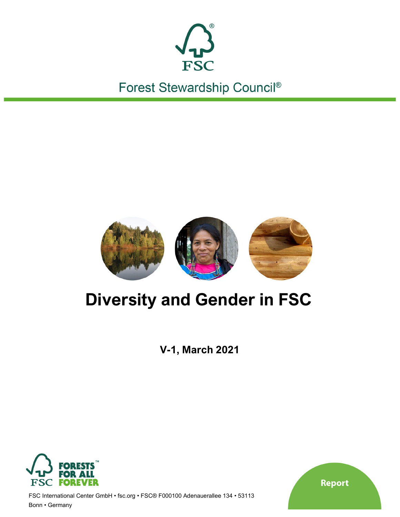

Forest Stewardship Council®



# **Diversity and Gender in FSC**

**V-1, March 2021**



FSC International Center GmbH • fsc.org • FSC® F000100 Adenauerallee 134 • 53113 Bonn • Germany

Report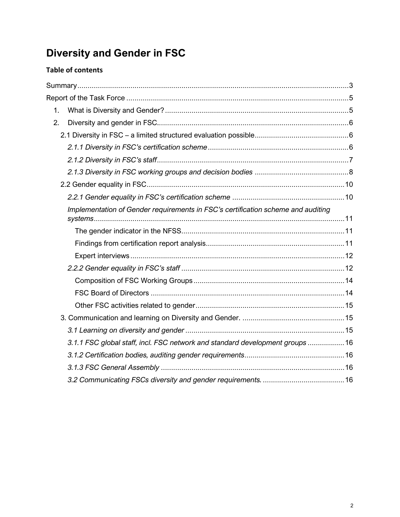## **Diversity and Gender in FSC**

## **Table of contents**

| 1.                                                                               |  |
|----------------------------------------------------------------------------------|--|
| 2.                                                                               |  |
|                                                                                  |  |
|                                                                                  |  |
|                                                                                  |  |
|                                                                                  |  |
|                                                                                  |  |
|                                                                                  |  |
| Implementation of Gender requirements in FSC's certification scheme and auditing |  |
|                                                                                  |  |
|                                                                                  |  |
|                                                                                  |  |
|                                                                                  |  |
|                                                                                  |  |
|                                                                                  |  |
|                                                                                  |  |
|                                                                                  |  |
|                                                                                  |  |
| 3.1.1 FSC global staff, incl. FSC network and standard development groups  16    |  |
|                                                                                  |  |
|                                                                                  |  |
|                                                                                  |  |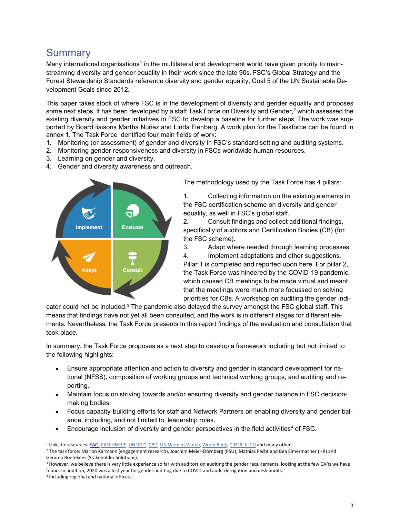## <span id="page-2-0"></span>**Summary**

Many international organisations<sup>[1](#page-2-1)</sup> in the multilateral and development world have given priority to mainstreaming diversity and gender equality in their work since the late 90s. FSC's Global Strategy and the Forest Stewardship Standards reference diversity and gender equality, Goal 5 of the UN Sustainable Development Goals since 2012.

This paper takes stock of where FSC is in the development of diversity and gender equality and proposes some next steps. It has been developed by a staff Task Force on Diversity and Gender, [2](#page-2-2) which assessed the existing diversity and gender initiatives in FSC to develop a baseline for further steps. The work was supported by Board liaisons Martha Nuñez and Linda Fienberg. A work plan for the Taskforce can be found in annex 1. The Task Force identified four main fields of work:

- 1. Monitoring (or assessment) of gender and diversity in FSC's standard setting and auditing systems.
- 2. Monitoring gender responsiveness and diversity in FSCs worldwide human resources.
- 3. Learning on gender and diversity.
- 4. Gender and diversity awareness and outreach.



The methodology used by the Task Force has 4 pillars:

1. Collecting information on the existing elements in the FSC certification scheme on diversity and gender equality, as well in FSC's global staff.

2. Consult findings and collect additional findings, specifically of auditors and Certification Bodies (CB) (for the FSC scheme).

3. Adapt where needed through learning processes.

4. Implement adaptations and other suggestions.

Pillar 1 is completed and reported upon here. For pillar 2, the Task Force was hindered by the COVID-19 pandemic, which caused CB meetings to be made virtual and meant that the meetings were much more focussed on solving priorities for CBs. A workshop on auditing the gender indi-

cator could not be included. $3$  The pandemic also delayed the survey amongst the FSC global staff. This means that findings have not yet all been consulted, and the work is in different stages for different elements. Nevertheless, the Task Force presents in this report findings of the evaluation and consultation that took place.

In summary, the Task Force proposes as a next step to develop a framework including but not limited to the following highlights:

- Ensure appropriate attention and action to diversity and gender in standard development for national (NFSS), composition of working groups and technical working groups, and auditing and reporting.
- Maintain focus on striving towards and/or ensuring diversity and gender balance in FSC decisionmaking bodies.
- Focus capacity-building efforts for staff and Network Partners on enabling diversity and gender balance, including, and not limited to, leadership roles.
- Encourage inclusion of diversity and gender perspectives in the field activities<sup>[4](#page-2-4)</sup> of FSC.

<span id="page-2-3"></span><sup>3</sup> However, we believe there is very little experience so far with auditors on auditing the gender requirements, looking at the few CARs we have found. In addition, 2020 was a lost year for gender auditing due to COVID and audit derogation and desk audits.

<span id="page-2-4"></span><sup>4</sup> Including regional and national offices.

<span id="page-2-1"></span><sup>1</sup> Links to resources[: FAO,](http://www.fao.org/gender/resources/publications/en/) [FAO-UNECE,](https://www.unece.org/fileadmin/DAM/timber/docs/publications-other/Time%20for%20Action_Gender%20and%20Forestry.pdf) [UNFCCC,](http://unfccc.int/gender_and_climate_change/items/7516.php) [CBD,](https://www.cbd.int/gender/) [UN Women Watch,](https://www.unwomen.org/en) [World Bank,](https://www.worldbank.org/en/research/dime/brief/dime-gender-program) [CIFOR, IUCN](http://www.cifor.org/knowledge/publication/4026/) and many others

<span id="page-2-2"></span><sup>&</sup>lt;sup>2</sup> The task force: Marion Karmann (engagement research), Joachim Meier-Dörnberg (PSU), Mathias Fecht and Bea Eimermacher (HR) and Gemma Boetekees (Stakeholder Solutions).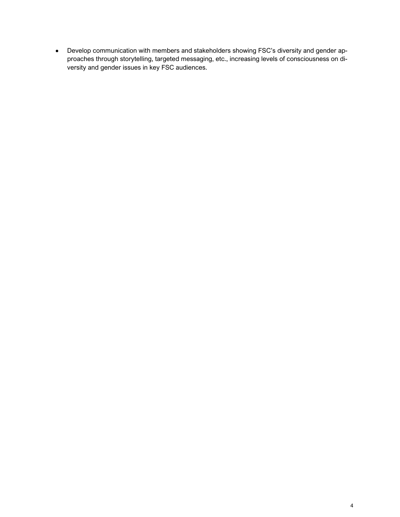• Develop communication with members and stakeholders showing FSC's diversity and gender approaches through storytelling, targeted messaging, etc., increasing levels of consciousness on diversity and gender issues in key FSC audiences.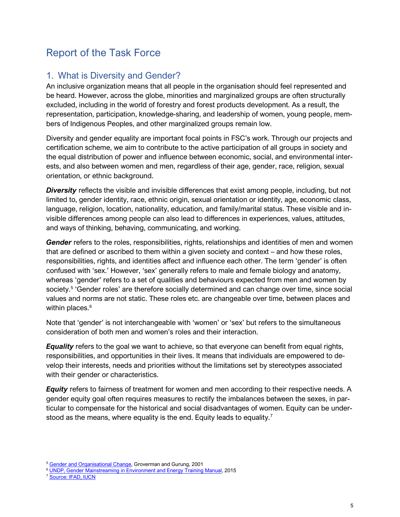## <span id="page-4-0"></span>Report of the Task Force

## <span id="page-4-1"></span>1. What is Diversity and Gender?

An inclusive organization means that all people in the organisation should feel represented and be heard. However, across the globe, minorities and marginalized groups are often structurally excluded, including in the world of forestry and forest products development. As a result, the representation, participation, knowledge-sharing, and leadership of women, young people, members of Indigenous Peoples, and other marginalized groups remain low.

Diversity and gender equality are important focal points in FSC's work. Through our projects and certification scheme, we aim to contribute to the active participation of all groups in society and the equal distribution of power and influence between economic, social, and environmental interests, and also between women and men, regardless of their age, gender, race, religion, sexual orientation, or ethnic background.

**Diversity** reflects the visible and invisible differences that exist among people, including, but not limited to, gender identity, race, ethnic origin, sexual orientation or identity, age, economic class, language, religion, location, nationality, education, and family/marital status. These visible and invisible differences among people can also lead to differences in experiences, values, attitudes, and ways of thinking, behaving, communicating, and working.

*Gender* refers to the roles, responsibilities, rights, relationships and identities of men and women that are defined or ascribed to them within a given society and context – and how these roles, responsibilities, rights, and identities affect and influence each other. The term 'gender' is often confused with 'sex.' However, 'sex' generally refers to male and female biology and anatomy, whereas 'gender' refers to a set of qualities and behaviours expected from men and women by society.<sup>[5](#page-4-2)</sup> 'Gender roles' are therefore socially determined and can change over time, since social values and norms are not static. These roles etc. are changeable over time, between places and within places. [6](#page-4-3)

Note that 'gender' is not interchangeable with 'women' or 'sex' but refers to the simultaneous consideration of both men and women's roles and their interaction.

*Equality* refers to the goal we want to achieve, so that everyone can benefit from equal rights, responsibilities, and opportunities in their lives. It means that individuals are empowered to develop their interests, needs and priorities without the limitations set by stereotypes associated with their gender or characteristics.

*Equity* refers to fairness of treatment for women and men according to their respective needs. A gender equity goal often requires measures to rectify the imbalances between the sexes, in particular to compensate for the historical and social disadvantages of women. Equity can be under-stood as the means, where equality is the end. Equity leads to equality.<sup>[7](#page-4-4)</sup>

<span id="page-4-4"></span><sup>7</sup> [Source: IFAD, IUCN](https://www.ifad.org/en/web/knowledge/publication/asset/39397087?inheritRedirect=true)

<span id="page-4-2"></span><sup>&</sup>lt;sup>5</sup> [Gender and Organisational Change,](http://lib.icimod.org/record/22011) Groverman and Gurung, 2001

<span id="page-4-3"></span><sup>&</sup>lt;sup>6</sup> [UNDP, Gender Mainstreaming in Environment and Energy Training Manual,](https://www.undp.org/content/undp/en/home/librarypage/environment-energy/sustainable_energy/gender_mainstreamingakeydriverofdevelopmentinenvironmentenergy.html) 2015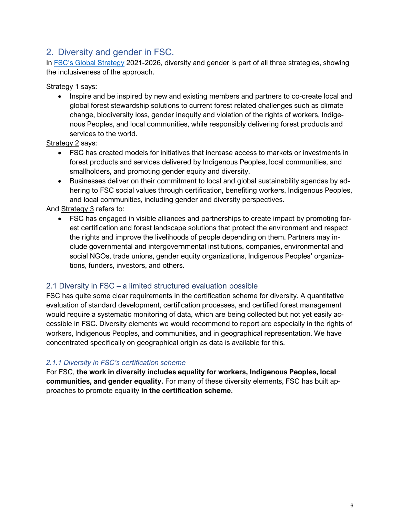## <span id="page-5-0"></span>2. Diversity and gender in FSC.

In [FSC's Global Strategy](https://fsc.org/en/newsfeed/fsc-global-strategy-2021-2026-demonstrating-the-value-and-benefits-of-forest-stewardship) 2021-2026, diversity and gender is part of all three strategies, showing the inclusiveness of the approach.

Strategy 1 says:

• Inspire and be inspired by new and existing members and partners to co-create local and global forest stewardship solutions to current forest related challenges such as climate change, biodiversity loss, gender inequity and violation of the rights of workers, Indigenous Peoples, and local communities, while responsibly delivering forest products and services to the world.

Strategy 2 says:

- FSC has created models for initiatives that increase access to markets or investments in forest products and services delivered by Indigenous Peoples, local communities, and smallholders, and promoting gender equity and diversity.
- Businesses deliver on their commitment to local and global sustainability agendas by adhering to FSC social values through certification, benefiting workers, Indigenous Peoples, and local communities, including gender and diversity perspectives.

And Strategy 3 refers to:

• FSC has engaged in visible alliances and partnerships to create impact by promoting forest certification and forest landscape solutions that protect the environment and respect the rights and improve the livelihoods of people depending on them. Partners may include governmental and intergovernmental institutions, companies, environmental and social NGOs, trade unions, gender equity organizations, Indigenous Peoples' organizations, funders, investors, and others.

#### <span id="page-5-1"></span>2.1 Diversity in FSC – a limited structured evaluation possible

FSC has quite some clear requirements in the certification scheme for diversity. A quantitative evaluation of standard development, certification processes, and certified forest management would require a systematic monitoring of data, which are being collected but not yet easily accessible in FSC. Diversity elements we would recommend to report are especially in the rights of workers, Indigenous Peoples, and communities, and in geographical representation. We have concentrated specifically on geographical origin as data is available for this.

#### <span id="page-5-2"></span>*2.1.1 Diversity in FSC's certification scheme*

For FSC, **the work in diversity includes equality for workers, Indigenous Peoples, local communities, and gender equality.** For many of these diversity elements, FSC has built approaches to promote equality **in the certification scheme**.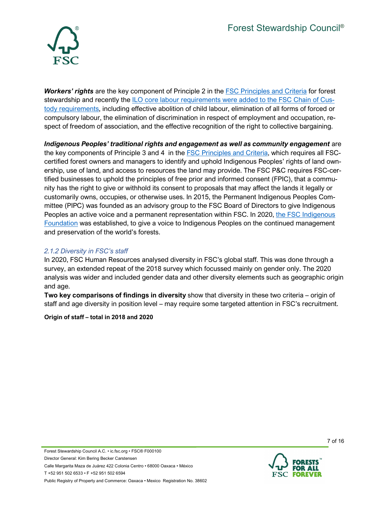

*Workers' rights* are the key component of Principle 2 in the [FSC Principles and Criteria](https://ic.fsc.org/en/document-center/id/59) for forest stewardship and recently the [ILO core labour](https://fsc.org/en/newsfeed/fsc-board-of-directors-approves-the-fsc-core-labour-requirements-within-the-fsc-chain-of) requirements were added to the FSC Chain of Custody requirements, including effective abolition of child labour, elimination of all forms of forced or compulsory labour, the elimination of discrimination in respect of employment and occupation, respect of freedom of association, and the effective recognition of the right to collective bargaining.

*Indigenous Peoples' traditional rights and engagement as well as community engagement* are the key components of Principle 3 and 4 in the [FSC Principles and Criteria,](https://ic.fsc.org/en/document-center/id/59) which requires all FSCcertified forest owners and managers to identify and uphold Indigenous Peoples' rights of land ownership, use of land, and access to resources the land may provide. The FSC P&C requires FSC-certified businesses to uphold the principles of free prior and informed consent (FPIC), that a community has the right to give or withhold its consent to proposals that may affect the lands it legally or customarily owns, occupies, or otherwise uses. In 2015, the Permanent Indigenous Peoples Committee (PIPC) was founded as an advisory group to the FSC Board of Directors to give Indigenous Peoples an active voice and a permanent representation within FSC. In 2020, [the FSC Indigenous](https://fsc.org/en/for-people/indigenous-peoples)  [Foundation](https://fsc.org/en/for-people/indigenous-peoples) was established, to give a voice to Indigenous Peoples on the continued management and preservation of the world's forests.

#### <span id="page-6-0"></span>*2.1.2 Diversity in FSC's staff*

In 2020, FSC Human Resources analysed diversity in FSC's global staff. This was done through a survey, an extended repeat of the 2018 survey which focussed mainly on gender only. The 2020 analysis was wider and included gender data and other diversity elements such as geographic origin and age.

**Two key comparisons of findings in diversity** show that diversity in these two criteria – origin of staff and age diversity in position level – may require some targeted attention in FSC's recruitment.

**Origin of staff – total in 2018 and 2020**

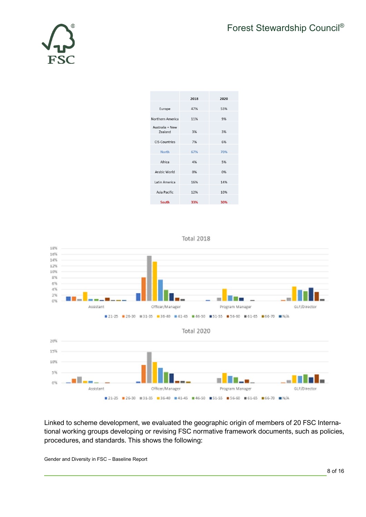

|                            | 2018 | 2020 |
|----------------------------|------|------|
| Europe                     | 47%  | 53%  |
| Northern America           | 11%  | 9%   |
| Australia + New<br>Zealand | 3%   | 3%   |
| <b>CIS-Countries</b>       | 7%   | 6%   |
| <b>North</b>               | 67%  | 70%  |
| Africa                     | 4%   | 5%   |
| Arabic World               | 0%   | 0%   |
| Latin America              | 16%  | 14%  |
| Asia Pacific               | 12%  | 10%  |
| South                      | 33%  | 30%  |





<span id="page-7-0"></span>Linked to scheme development, we evaluated the geographic origin of members of 20 FSC International working groups developing or revising FSC normative framework documents, such as policies, procedures, and standards. This shows the following: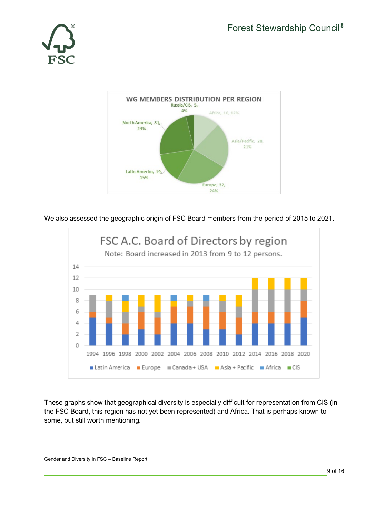



We also assessed the geographic origin of FSC Board members from the period of 2015 to 2021.



These graphs show that geographical diversity is especially difficult for representation from CIS (in the FSC Board, this region has not yet been represented) and Africa. That is perhaps known to some, but still worth mentioning.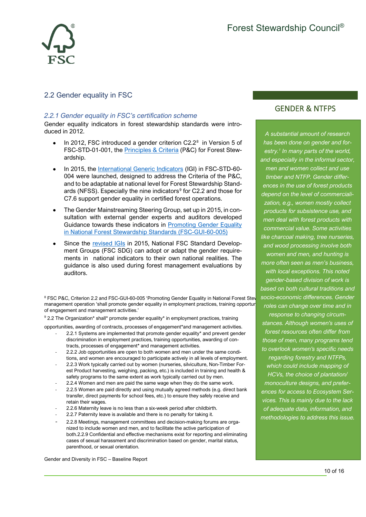

#### <span id="page-9-1"></span><span id="page-9-0"></span>2.2 Gender equality in FSC

#### *2.2.1 Gender equality in FSC's certification scheme*

Gender equality indicators in forest stewardship standards were introduced in 2012.

- In 2012, FSC introduced a gender criterion  $C2.2^8$  $C2.2^8$  in Version 5 of FSC-STD-01-001, the [Principles & Criteria](https://fsc.org/en/document-centre/documents/retrieve/16c5cce0-cccf-434d-953e-a27c6750fbad) (P&C) for Forest Stewardship.
- In 2015, the [International Generic Indicators](https://fsc.org/en/document-centre/documents/retrieve/2a0d35e7-2707-43ad-a493-3192b3daea6a) (IGI) in FSC-STD-60- 004 were launched, designed to address the Criteria of the P&C, and to be adaptable at national level for Forest Stewardship Standards (NFSS). Especially the nine indicators $9$  for C2.2 and those for C7.6 support gender equality in certified forest operations.
- The Gender Mainstreaming Steering Group, set up in 2015, in consultation with external gender experts and auditors developed Guidance towards these indicators in **Promoting Gender Equality** [in National Forest Stewardship Standards](https://fsc.org/en/document-centre/documents/resource/247) (FSC-GUI-60-005)
- Since the [revised IGIs](https://fsc.org/en/document-centre/documents/resource/262) in 2015, National FSC Standard Development Groups (FSC SDG) can adopt or adapt the gender requirements in national indicators to their own national realities. The guidance is also used during forest management evaluations by auditors.

<span id="page-9-2"></span><sup>8</sup> FSC P&C, Criterion 2.2 and FSC-GUI-60-005 'Promoting Gender Equality in National Forest Stev management operation 'shall promote gender equality in employment practices, training opportunities, awarding of contracts, processes of engagement and management activities.'

<span id="page-9-3"></span><sup>9</sup> 2.2 The Organization\* shall\* promote gender equality\* in employment practices, training

opportunities, awarding of contracts, processes of engagement\*and management activities.

- 2.2.1 Systems are implemented that promote gender equality\* and prevent gender discrimination in employment practices, training opportunities, awarding of contracts, processes of engagement\* and management activities.
- 2.2.2 Job opportunities are open to both women and men under the same conditions, and women are encouraged to participate actively in all levels of employment.
- 2.2.3 Work typically carried out by women (nurseries, silviculture, Non-Timber Forest Product harvesting, weighing, packing, etc.) is included in training and health & safety programs to the same extent as work typically carried out by men.
- 2.2.4 Women and men are paid the same wage when they do the same work.
- 2.2.5 Women are paid directly and using mutually agreed methods (e.g. direct bank transfer, direct payments for school fees, etc.) to ensure they safely receive and retain their wages.
- 2.2.6 Maternity leave is no less than a six-week period after childbirth.
- 2.2.7 Paternity leave is available and there is no penalty for taking it.
- 2.2.8 Meetings, management committees and decision-making forums are organized to include women and men, and to facilitate the active participation of both.2.2.9 Confidential and effective mechanisms exist for reporting and eliminating cases of sexual harassment and discrimination based on gender, marital status, parenthood, or sexual orientation.

Gender and Diversity in FSC – Baseline Report

## GENDER & NTFPS

*A substantial amount of research has been done on gender and forestry. <sup>1</sup> In many parts of the world, and especially in the informal sector, men and women collect and use timber and NTFP. Gender differences in the use of forest products depend on the level of commercialization, e.g., women mostly collect products for subsistence use, and men deal with forest products with commercial value. Some activities like charcoal making, tree nurseries, and wood processing involve both women and men, and hunting is more often seen as men's business, with local exceptions. This noted gender-based division of work is based on both cultural traditions and socio-economic differences. Gender roles can change over time and in response to changing circumstances. Although women's uses of forest resources often differ from those of men, many programs tend to overlook women's specific needs regarding forestry and NTFPs, which could include mapping of HCVs, the choice of plantation/ monoculture designs, and preferences for access to Ecosystem Services. This is mainly due to the lack of adequate data, information, and methodologies to address this issue.*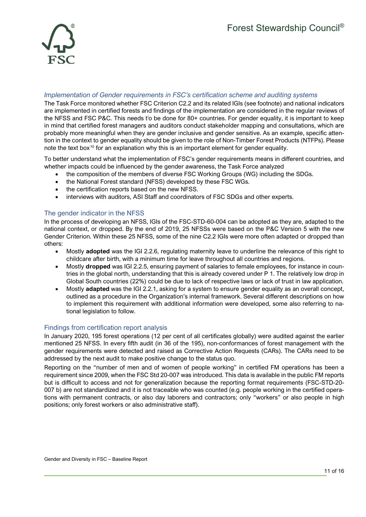

#### <span id="page-10-0"></span>*Implementation of Gender requirements in FSC's certification scheme and auditing systems*

The Task Force monitored whether FSC Criterion C2.2 and its related IGIs (see footnote) and national indicators are implemented in certified forests and findings of the implementation are considered in the regular reviews of the NFSS and FSC P&C. Th[i](#page-15-4)s needs t<sup>i</sup>o be done for 80+ countries. For gender equality, it is important to keep in mind that certified forest managers and auditors conduct stakeholder mapping and consultations, which are probably more meaningful when they are gender inclusive and gender sensitive. As an example, specific attention in the context to gender equality should be given to the role of Non-Timber Forest Products (NTFPs). Please note the text box<sup>[10](#page-10-3)</sup> for an explanation why this is an important element for gender equality.

To better understand what the implementation of FSC's gender requirements means in different countries, and whether impacts could be influenced by the gender awareness, the Task Force analyzed

- the composition of the members of diverse FSC Working Groups (WG) including the SDGs.
- <span id="page-10-1"></span>• the National Forest standard (NFSS) developed by these FSC WGs.
- the certification reports based on the new NFSS.
- interviews with auditors, ASI Staff and coordinators of FSC SDGs and other experts.

#### The gender indicator in the NFSS

In the process of developing an NFSS, IGIs of the FSC-STD-60-004 can be adopted as they are, adapted to the national context, or dropped. By the end of 2019, 25 NFSSs were based on the P&C Version 5 with the new Gender Criterion. Within these 25 NFSS, some of the nine C2.2 IGIs were more often adapted or dropped than others:

- Mostly **adopted** was the IGI 2.2.6, regulating maternity leave to underline the relevance of this right to childcare after birth, with a minimum time for leave throughout all countries and regions.
- Mostly **dropped** was IGI 2.2.5, ensuring payment of salaries to female employees, for instance in countries in the global north, understanding that this is already covered under P 1. The relatively low drop in Global South countries (22%) could be due to lack of respective laws or lack of trust in law application.
- <span id="page-10-2"></span>• Mostly **adapted** was the IGI 2.2.1, asking for a system to ensure gender equality as an overall concept, outlined as a procedure in the Organization's internal framework. Several different descriptions on how to implement this requirement with additional information were developed, some also referring to national legislation to follow.

#### Findings from certification report analysis

In January 2020, 195 forest operations (12 per cent of all certificates globally) were audited against the earlier mentioned 25 NFSS. In every fifth audit (in 36 of the 195), non-conformances of forest management with the gender requirements were detected and raised as Corrective Action Requests (CARs). The CARs need to be addressed by the next audit to make positive change to the status quo.

<span id="page-10-3"></span>Reporting on the "number of men and of women of people working" in certified FM operations has been a requirement since 2009, when the FSC Std 20-007 was introduced. This data is available in the public FM reports but is difficult to access and not for generalization because the reporting format requirements (FSC-STD-20- 007 b) are not standardized and it is not traceable who was counted (e.g. people working in the certified operations with permanent contracts, or also day laborers and contractors; only "workers" or also people in high positions; only forest workers or also administrative staff).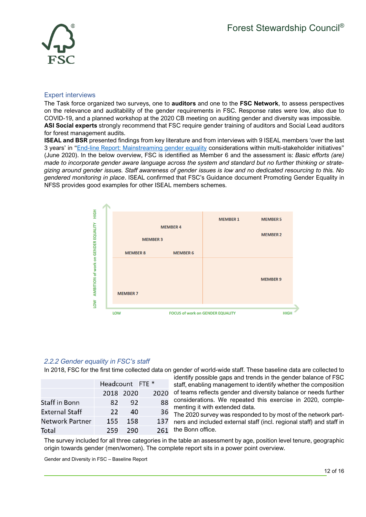

#### <span id="page-11-0"></span>Expert interviews

The Task force organized two surveys, one to **auditors** and one to the **FSC Network**, to assess perspectives on the relevance and auditability of the gender requirements in FSC. Response rates were low, also due to COVID-19, and a planned workshop at the 2020 CB meeting on auditing gender and diversity was impossible. **ASI Social experts** strongly recommend that FSC require gender training of auditors and Social Lead auditors for forest management audits.

**ISEAL and BSR** presented findings from key literature and from interviews with 9 ISEAL members 'over the last 3 years' in ["End-line Report: Mainstreaming gender equality](https://www.isealalliance.org/sites/default/files/resource/2020-06/ISEAL_Mainstreaming%20Gender%20Equality_2020_V5B_0.pdf) considerations within multi-stakeholder initiatives" (June 2020). In the below overview, FSC is identified as Member 6 and the assessment is: *Basic efforts (are) made to incorporate gender aware language across the system and standard but no further thinking or strategizing around gender issues. Staff awareness of gender issues is low and no dedicated resourcing to this. No gendered monitoring in place*. ISEAL confirmed that FSC's Guidance document Promoting Gender Equality in NFSS provides good examples for other ISEAL members schemes.



#### <span id="page-11-1"></span>*2.2.2 Gender equality in FSC's staff*

In 2018, FSC for the first time collected data on gender of world-wide staff. These baseline data are collected to

|                 | Headcount FTE * |           |      |  |
|-----------------|-----------------|-----------|------|--|
|                 |                 | 2018 2020 | 2020 |  |
| Staff in Bonn   | 82.             | 92        | 88   |  |
| External Staff  | $22$            | 40        | 36   |  |
| Network Partner | 155             | 158       | 137  |  |
| Total           | 259             | 290       | 261  |  |

identify possible gaps and trends in the gender balance of FSC staff, enabling management to identify whether the composition of teams reflects gender and diversity balance or needs further considerations. We repeated this exercise in 2020, complementing it with extended data.

The 2020 survey was responded to by most of the network partners and included external staff (incl. regional staff) and staff in the Bonn office.

The survey included for all three categories in the table an assessment by age, position level tenure, geographic origin towards gender (men/women). The complete report sits in a power point overview.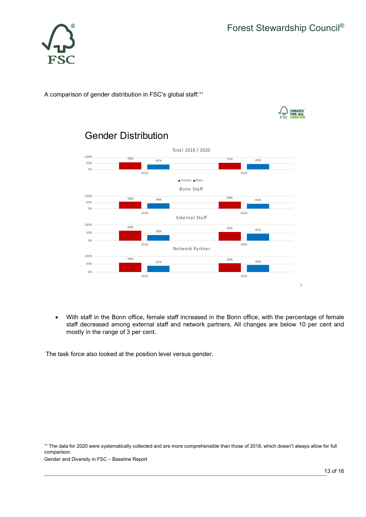

A comparison of gender distribution in FSC's global staff:<sup>[11](#page-12-0)</sup>





## Gender Distribution

• With staff in the Bonn office, female staff increased in the Bonn office, with the percentage of female staff decreased among external staff and network partners. All changes are below 10 per cent and mostly in the range of 3 per cent.

The task force also looked at the position level versus gender.

<span id="page-12-0"></span><sup>11</sup> The data for 2020 were systematically collected and are more comprehensible than those of 2018, which doesn't always allow for full comparison.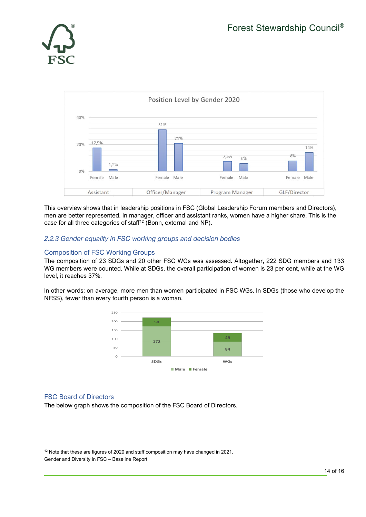



<span id="page-13-0"></span>This overview shows that in leadership positions in FSC (Global Leadership Forum members and Directors), men are better represented. In manager, officer and assistant ranks, women have a higher share. This is the case for all three categories of staff<sup>[12](#page-13-2)</sup> (Bonn, external and NP).

#### *2.2.3 Gender equality in FSC working groups and decision bodies*

#### Composition of FSC Working Groups

The composition of 23 SDGs and 20 other FSC WGs was assessed. Altogether, 222 SDG members and 133 WG members were counted. While at SDGs, the overall participation of women is 23 per cent, while at the WG level, it reaches 37%.

In other words: on average, more men than women participated in FSC WGs. In SDGs (those who develop the NFSS), fewer than every fourth person is a woman.



#### <span id="page-13-1"></span>FSC Board of Directors

The below graph shows the composition of the FSC Board of Directors.

<span id="page-13-2"></span>Gender and Diversity in FSC – Baseline Report <sup>12</sup> Note that these are figures of 2020 and staff composition may have changed in 2021.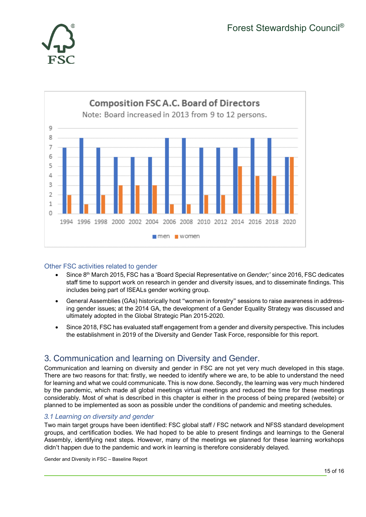



#### <span id="page-14-0"></span>Other FSC activities related to gender

- Since 8th March 2015, FSC has a 'Board Special Representative on *Gender;'* since 2016, FSC dedicates staff time to support work on research in gender and diversity issues, and to disseminate findings. This includes being part of ISEALs gender working group.
- General Assemblies (GAs) historically host "women in forestry" sessions to raise awareness in addressing gender issues; at the 2014 GA, the development of a Gender Equality Strategy was discussed and ultimately adopted in the Global Strategic Plan 2015-2020.
- <span id="page-14-1"></span>• Since 2018, FSC has evaluated staff engagement from a gender and diversity perspective. This includes the establishment in 2019 of the Diversity and Gender Task Force, responsible for this report.

## 3. Communication and learning on Diversity and Gender.

<span id="page-14-2"></span>Communication and learning on diversity and gender in FSC are not yet very much developed in this stage. There are two reasons for that: firstly, we needed to identify where we are, to be able to understand the need for learning and what we could communicate. This is now done. Secondly, the learning was very much hindered by the pandemic, which made all global meetings virtual meetings and reduced the time for these meetings considerably. Most of what is described in this chapter is either in the process of being prepared (website) or planned to be implemented as soon as possible under the conditions of pandemic and meeting schedules.

#### *3.1 Learning on diversity and gender*

Two main target groups have been identified: FSC global staff / FSC network and NFSS standard development groups, and certification bodies. We had hoped to be able to present findings and learnings to the General Assembly, identifying next steps. However, many of the meetings we planned for these learning workshops didn't happen due to the pandemic and work in learning is therefore considerably delayed.